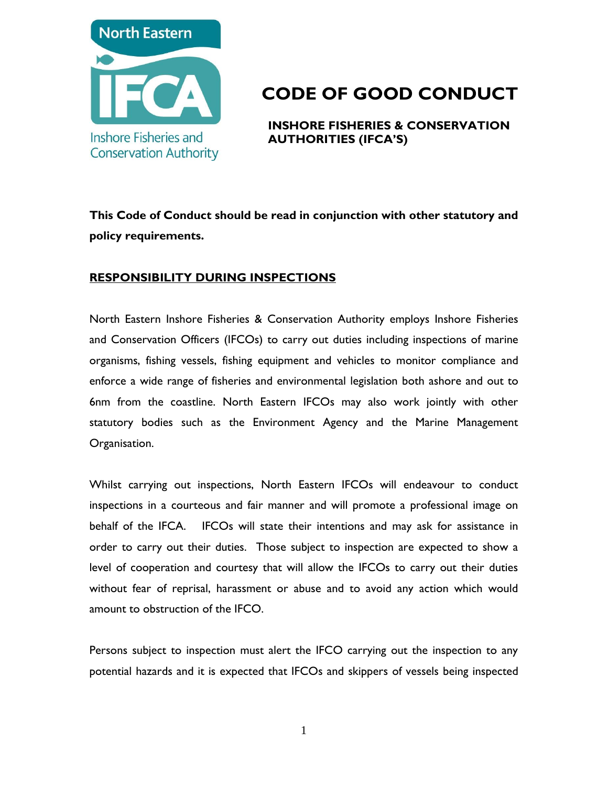

# **CODE OF GOOD CONDUCT**

**INSHORE FISHERIES & CONSERVATION AUTHORITIES (IFCA'S)**

**This Code of Conduct should be read in conjunction with other statutory and policy requirements.**

## **RESPONSIBILITY DURING INSPECTIONS**

North Eastern Inshore Fisheries & Conservation Authority employs Inshore Fisheries and Conservation Officers (IFCOs) to carry out duties including inspections of marine organisms, fishing vessels, fishing equipment and vehicles to monitor compliance and enforce a wide range of fisheries and environmental legislation both ashore and out to 6nm from the coastline. North Eastern IFCOs may also work jointly with other statutory bodies such as the Environment Agency and the Marine Management Organisation.

Whilst carrying out inspections, North Eastern IFCOs will endeavour to conduct inspections in a courteous and fair manner and will promote a professional image on behalf of the IFCA. IFCOs will state their intentions and may ask for assistance in order to carry out their duties. Those subject to inspection are expected to show a level of cooperation and courtesy that will allow the IFCOs to carry out their duties without fear of reprisal, harassment or abuse and to avoid any action which would amount to obstruction of the IFCO.

Persons subject to inspection must alert the IFCO carrying out the inspection to any potential hazards and it is expected that IFCOs and skippers of vessels being inspected

1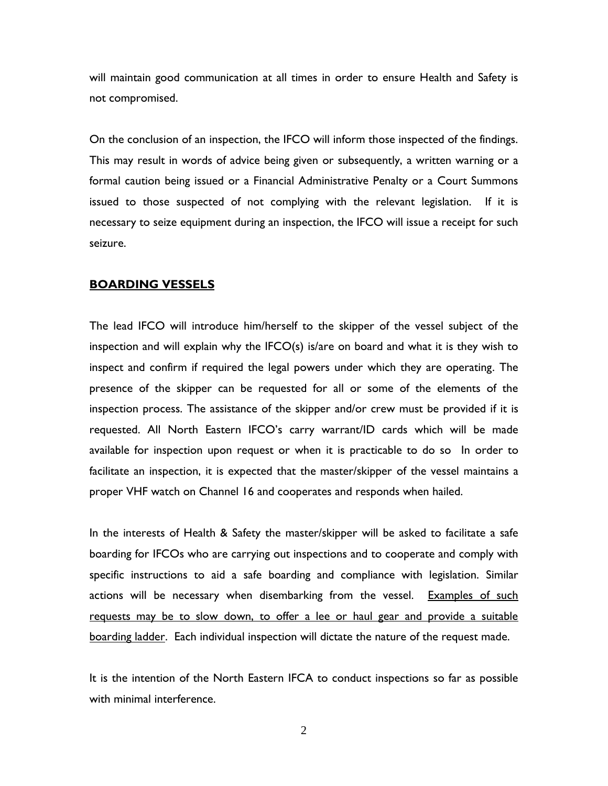will maintain good communication at all times in order to ensure Health and Safety is not compromised.

On the conclusion of an inspection, the IFCO will inform those inspected of the findings. This may result in words of advice being given or subsequently, a written warning or a formal caution being issued or a Financial Administrative Penalty or a Court Summons issued to those suspected of not complying with the relevant legislation. If it is necessary to seize equipment during an inspection, the IFCO will issue a receipt for such seizure.

#### **BOARDING VESSELS**

The lead IFCO will introduce him/herself to the skipper of the vessel subject of the inspection and will explain why the IFCO(s) is/are on board and what it is they wish to inspect and confirm if required the legal powers under which they are operating. The presence of the skipper can be requested for all or some of the elements of the inspection process. The assistance of the skipper and/or crew must be provided if it is requested. All North Eastern IFCO's carry warrant/ID cards which will be made available for inspection upon request or when it is practicable to do so In order to facilitate an inspection, it is expected that the master/skipper of the vessel maintains a proper VHF watch on Channel 16 and cooperates and responds when hailed.

In the interests of Health & Safety the master/skipper will be asked to facilitate a safe boarding for IFCOs who are carrying out inspections and to cooperate and comply with specific instructions to aid a safe boarding and compliance with legislation. Similar actions will be necessary when disembarking from the vessel. Examples of such requests may be to slow down, to offer a lee or haul gear and provide a suitable boarding ladder. Each individual inspection will dictate the nature of the request made.

It is the intention of the North Eastern IFCA to conduct inspections so far as possible with minimal interference.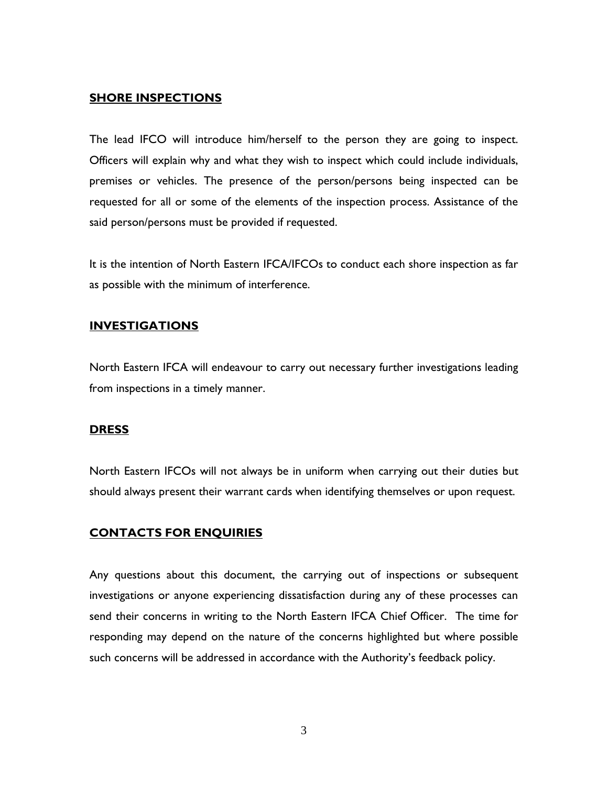### **SHORE INSPECTIONS**

The lead IFCO will introduce him/herself to the person they are going to inspect. Officers will explain why and what they wish to inspect which could include individuals, premises or vehicles. The presence of the person/persons being inspected can be requested for all or some of the elements of the inspection process. Assistance of the said person/persons must be provided if requested.

It is the intention of North Eastern IFCA/IFCOs to conduct each shore inspection as far as possible with the minimum of interference.

### **INVESTIGATIONS**

North Eastern IFCA will endeavour to carry out necessary further investigations leading from inspections in a timely manner.

### **DRESS**

North Eastern IFCOs will not always be in uniform when carrying out their duties but should always present their warrant cards when identifying themselves or upon request.

### **CONTACTS FOR ENQUIRIES**

Any questions about this document, the carrying out of inspections or subsequent investigations or anyone experiencing dissatisfaction during any of these processes can send their concerns in writing to the North Eastern IFCA Chief Officer. The time for responding may depend on the nature of the concerns highlighted but where possible such concerns will be addressed in accordance with the Authority's feedback policy.

3